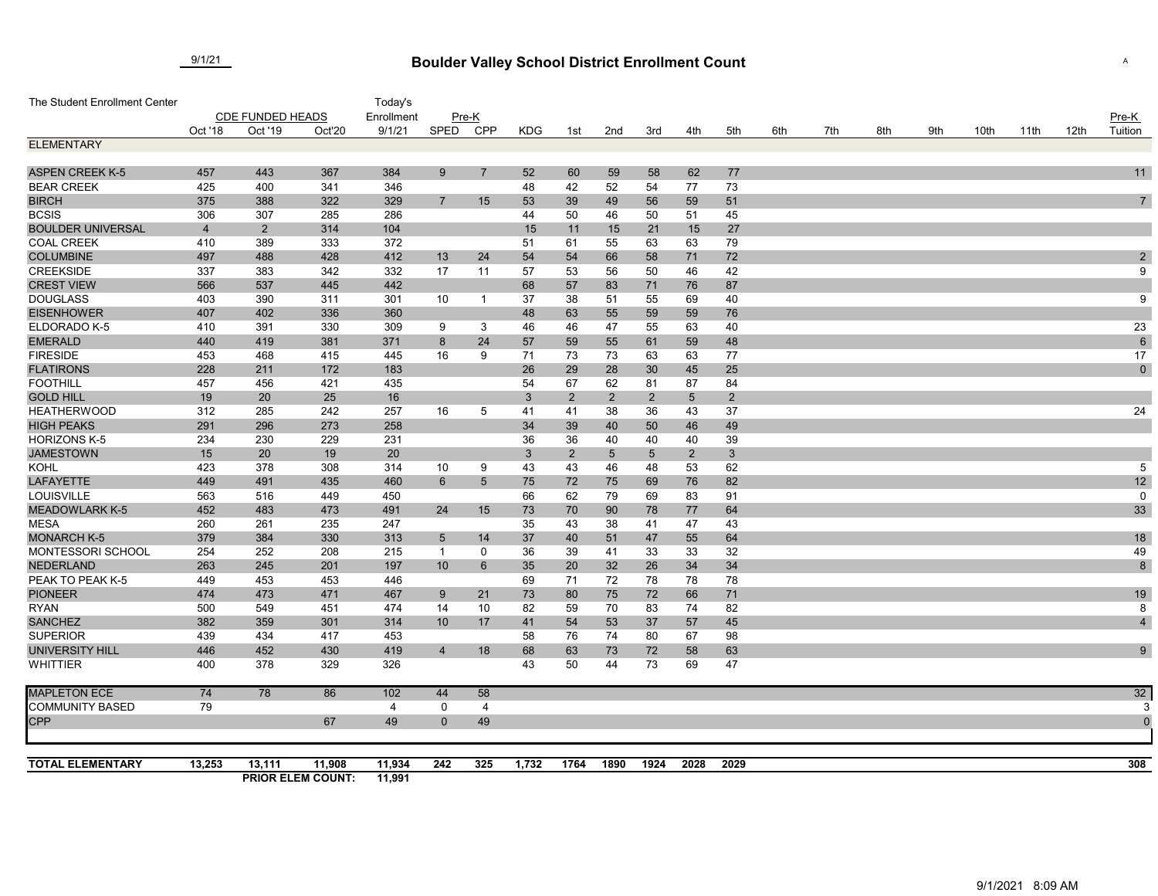## **Boulder Valley School District Enrollment Count** 9/1/21 <sup>A</sup>

| The Student Enrollment Center           |                         |                |                          | Today's    |                |                 |            |                |                 |                |                 |                |     |     |     |     |      |      |      |                  |
|-----------------------------------------|-------------------------|----------------|--------------------------|------------|----------------|-----------------|------------|----------------|-----------------|----------------|-----------------|----------------|-----|-----|-----|-----|------|------|------|------------------|
|                                         | <b>CDE FUNDED HEADS</b> |                |                          | Enrollment | Pre-K          |                 |            |                |                 |                |                 |                |     |     |     |     |      |      |      | $Pre-K$          |
|                                         | Oct '18                 | Oct '19        | Oct'20                   | 9/1/21     | SPED           | <b>CPP</b>      | <b>KDG</b> | 1st            | 2nd             | 3rd            | 4th             | 5th            | 6th | 7th | 8th | 9th | 10th | 11th | 12th | Tuition          |
| <b>ELEMENTARY</b>                       |                         |                |                          |            |                |                 |            |                |                 |                |                 |                |     |     |     |     |      |      |      |                  |
|                                         |                         |                |                          |            |                |                 |            |                |                 |                |                 |                |     |     |     |     |      |      |      |                  |
| <b>ASPEN CREEK K-5</b>                  | 457                     | 443            | 367                      | 384        | 9              | $\overline{7}$  | 52         | 60             | 59              | 58             | 62              | 77             |     |     |     |     |      |      |      | 11               |
| <b>BEAR CREEK</b>                       | 425                     | 400            | 341                      | 346        |                |                 | 48         | 42             | 52              | 54             | 77              | 73             |     |     |     |     |      |      |      |                  |
| <b>BIRCH</b>                            | 375                     | 388            | 322                      | 329        | $\overline{7}$ | 15              | 53         | 39             | 49              | 56             | 59              | 51             |     |     |     |     |      |      |      | $\overline{7}$   |
| <b>BCSIS</b>                            | 306                     | 307            | 285                      | 286        |                |                 | 44         | 50             | 46              | 50             | 51              | 45             |     |     |     |     |      |      |      |                  |
| <b>BOULDER UNIVERSAL</b>                | $\overline{4}$          | $\overline{2}$ | 314                      | 104        |                |                 | 15         | 11             | 15              | 21             | 15              | 27             |     |     |     |     |      |      |      |                  |
| <b>COAL CREEK</b>                       | 410                     | 389            | 333                      | 372        |                |                 | 51         | 61             | 55              | 63             | 63              | 79             |     |     |     |     |      |      |      |                  |
| <b>COLUMBINE</b>                        | 497                     | 488            | 428                      | 412        | 13             | 24              | 54         | 54             | 66              | 58             | 71              | 72             |     |     |     |     |      |      |      | $\boldsymbol{2}$ |
| <b>CREEKSIDE</b>                        | 337                     | 383            | 342                      | 332        | 17             | 11              | 57         | 53             | 56              | 50             | 46              | 42             |     |     |     |     |      |      |      | 9                |
| <b>CREST VIEW</b>                       | 566                     | 537            | 445                      | 442        |                |                 | 68         | 57             | 83              | 71             | 76              | 87             |     |     |     |     |      |      |      |                  |
| <b>DOUGLASS</b>                         | 403                     | 390            | 311                      | 301        | 10             | -1              | 37         | 38             | 51              | 55             | 69              | 40             |     |     |     |     |      |      |      | 9                |
| <b>EISENHOWER</b>                       | 407                     | 402            | 336                      | 360        |                |                 | 48         | 63             | 55              | 59             | 59              | 76             |     |     |     |     |      |      |      |                  |
| ELDORADO K-5                            | 410                     | 391            | 330                      | 309        | 9              | 3               | 46         | 46             | 47              | 55             | 63              | 40             |     |     |     |     |      |      |      | 23               |
| <b>EMERALD</b>                          | 440                     | 419            | 381                      | 371        | 8              | 24              | 57         | 59             | 55              | 61             | 59              | 48             |     |     |     |     |      |      |      | $\,6\,$          |
| <b>FIRESIDE</b>                         | 453                     | 468            | 415                      | 445        | 16             | 9               | 71         | 73             | 73              | 63             | 63              | 77             |     |     |     |     |      |      |      | 17               |
| <b>FLATIRONS</b>                        | 228                     | 211            | 172                      | 183        |                |                 | 26         | 29             | 28              | 30             | 45              | 25             |     |     |     |     |      |      |      | $\mathbf 0$      |
| <b>FOOTHILL</b>                         | 457                     | 456            | 421                      | 435        |                |                 | 54         | 67             | 62              | 81             | 87              | 84             |     |     |     |     |      |      |      |                  |
| <b>GOLD HILL</b>                        | 19                      | 20             | 25                       | 16         |                |                 | 3          | $\overline{2}$ | $\overline{2}$  | $\sqrt{2}$     | $5\phantom{.0}$ | $\overline{2}$ |     |     |     |     |      |      |      |                  |
| <b>HEATHERWOOD</b>                      | 312                     | 285            | 242                      | 257        | 16             | 5               | 41         | 41             | 38              | 36             | 43              | 37             |     |     |     |     |      |      |      | 24               |
| <b>HIGH PEAKS</b>                       | 291                     | 296            | 273                      | 258        |                |                 | 34         | 39             | 40              | 50             | 46              | 49             |     |     |     |     |      |      |      |                  |
| <b>HORIZONS K-5</b>                     | 234                     | 230            | 229                      | 231        |                |                 | 36         | 36             | 40              | 40             | 40              | 39             |     |     |     |     |      |      |      |                  |
| <b>JAMESTOWN</b>                        | 15                      | 20             | 19                       | 20         |                |                 | 3          | $\overline{2}$ | $5\overline{)}$ | $\overline{5}$ | $\overline{2}$  | 3              |     |     |     |     |      |      |      |                  |
| <b>KOHL</b>                             | 423                     | 378            | 308                      | 314        | 10             | 9               | 43         | 43             | 46              | 48             | 53              | 62             |     |     |     |     |      |      |      | $\overline{5}$   |
| <b>LAFAYETTE</b>                        | 449                     | 491            | 435                      | 460        | 6              | $5\phantom{.0}$ | 75         | 72             | 75              | 69             | 76              | 82             |     |     |     |     |      |      |      | 12               |
| LOUISVILLE                              | 563                     | 516            | 449                      | 450        |                |                 | 66         | 62             | 79              | 69             | 83              | 91             |     |     |     |     |      |      |      | 0                |
| <b>MEADOWLARK K-5</b>                   | 452                     | 483            | 473                      | 491        | 24             | 15              | 73         | 70             | 90              | 78             | 77              | 64             |     |     |     |     |      |      |      | 33               |
| <b>MESA</b>                             | 260                     | 261            | 235                      | 247        |                |                 | 35         | 43             | 38              | 41             | 47              | 43             |     |     |     |     |      |      |      |                  |
| <b>MONARCH K-5</b><br>MONTESSORI SCHOOL | 379<br>254              | 384            | 330                      | 313        | 5              | 14              | 37         | 40             | 51              | 47             | 55              | 64             |     |     |     |     |      |      |      | 18               |
| NEDERLAND                               |                         | 252<br>245     | 208                      | 215        | $\mathbf{1}$   | 0               | 36         | 39             | 41              | 33             | 33              | 32             |     |     |     |     |      |      |      | 49               |
| PEAK TO PEAK K-5                        | 263<br>449              | 453            | 201<br>453               | 197<br>446 | 10             | 6               | 35<br>69   | 20             | 32              | 26             | 34              | 34             |     |     |     |     |      |      |      | $\bf 8$          |
|                                         |                         |                |                          |            |                |                 |            | 71             | 72              | 78             | 78              | 78             |     |     |     |     |      |      |      |                  |
| <b>PIONEER</b>                          | 474                     | 473<br>549     | 471                      | 467<br>474 | 9              | 21              | 73         | 80             | 75              | 72             | 66              | 71             |     |     |     |     |      |      |      | 19               |
| <b>RYAN</b>                             | 500                     |                | 451                      |            | 14             | 10              | 82         | 59             | 70              | 83             | 74              | 82             |     |     |     |     |      |      |      | 8                |
| <b>SANCHEZ</b><br><b>SUPERIOR</b>       | 382<br>439              | 359<br>434     | 301<br>417               | 314<br>453 | 10             | 17              | 41         | 54             | 53              | 37<br>80       | 57              | 45             |     |     |     |     |      |      |      | $\overline{4}$   |
|                                         | 446                     | 452            | 430                      | 419        | $\overline{4}$ |                 | 58         | 76             | 74              | 72             | 67              | 98             |     |     |     |     |      |      |      | 9                |
| UNIVERSITY HILL<br><b>WHITTIER</b>      | 400                     | 378            | 329                      | 326        |                | 18              | 68<br>43   | 63<br>50       | 73<br>44        | 73             | 58<br>69        | 63<br>47       |     |     |     |     |      |      |      |                  |
|                                         |                         |                |                          |            |                |                 |            |                |                 |                |                 |                |     |     |     |     |      |      |      |                  |
| <b>MAPLETON ECE</b>                     | 74                      | 78             | 86                       | 102        | 44             | 58              |            |                |                 |                |                 |                |     |     |     |     |      |      |      | 32               |
| <b>COMMUNITY BASED</b>                  | 79                      |                |                          | 4          | 0              | $\overline{4}$  |            |                |                 |                |                 |                |     |     |     |     |      |      |      |                  |
| <b>CPP</b>                              |                         |                | 67                       | 49         | $\mathbf{0}$   | 49              |            |                |                 |                |                 |                |     |     |     |     |      |      |      | C                |
|                                         |                         |                |                          |            |                |                 |            |                |                 |                |                 |                |     |     |     |     |      |      |      |                  |
|                                         |                         |                |                          |            |                |                 |            |                |                 |                |                 |                |     |     |     |     |      |      |      |                  |
| <b>TOTAL ELEMENTARY</b>                 | 13,253                  | 13,111         | 11,908                   | 11,934     | 242            | 325             | 1,732      | 1764           | 1890            | 1924           | 2028            | 2029           |     |     |     |     |      |      |      | 308              |
|                                         |                         |                | <b>PRIOR ELEM COUNT:</b> | 11,991     |                |                 |            |                |                 |                |                 |                |     |     |     |     |      |      |      |                  |